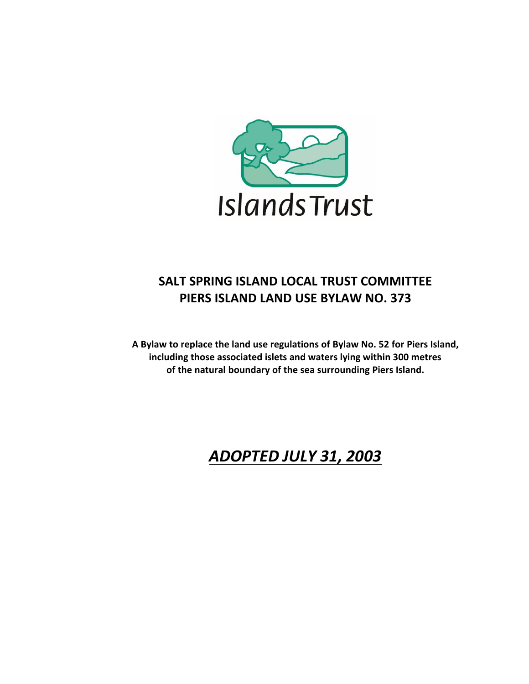

# **SALT SPRING ISLAND LOCAL TRUST COMMITTEE PIERS ISLAND LAND USE BYLAW NO. 373**

**A Bylaw to replace the land use regulations of Bylaw No. 52 for Piers Island, including those associated islets and waters lying within 300 metres of the natural boundary of the sea surrounding Piers Island.**

# *ADOPTED JULY 31, 2003*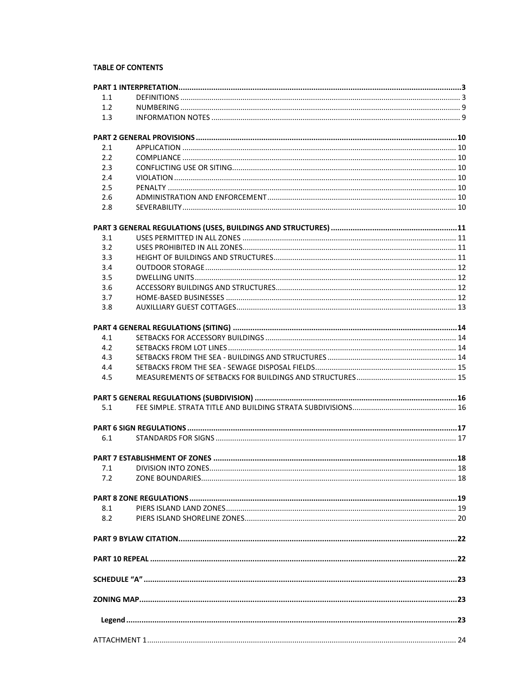#### **TABLE OF CONTENTS**

| 1.1 |  |
|-----|--|
| 1.2 |  |
| 1.3 |  |
|     |  |
| 2.1 |  |
| 2.2 |  |
| 2.3 |  |
| 2.4 |  |
| 2.5 |  |
| 2.6 |  |
| 2.8 |  |
|     |  |
| 3.1 |  |
| 3.2 |  |
| 3.3 |  |
| 3.4 |  |
| 3.5 |  |
| 3.6 |  |
| 3.7 |  |
| 3.8 |  |
|     |  |
| 4.1 |  |
| 4.2 |  |
| 4.3 |  |
| 4.4 |  |
| 4.5 |  |
|     |  |
| 5.1 |  |
|     |  |
| 6.1 |  |
|     |  |
| 7.1 |  |
| 7.2 |  |
|     |  |
|     |  |
| 8.1 |  |
| 8.2 |  |
|     |  |
|     |  |
|     |  |
|     |  |
|     |  |
|     |  |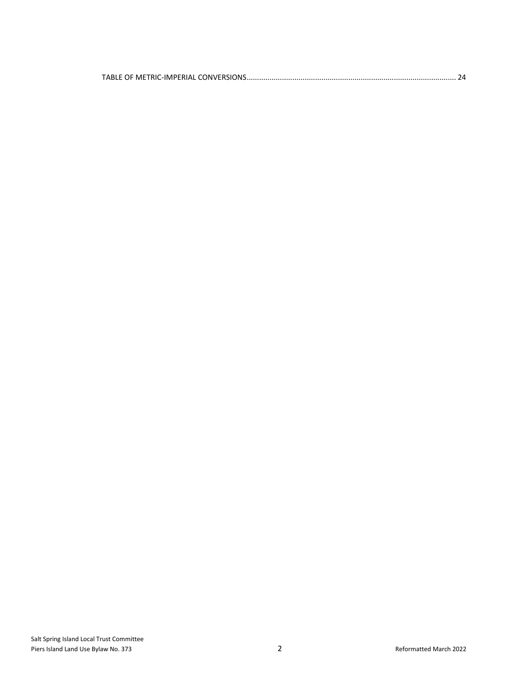|--|--|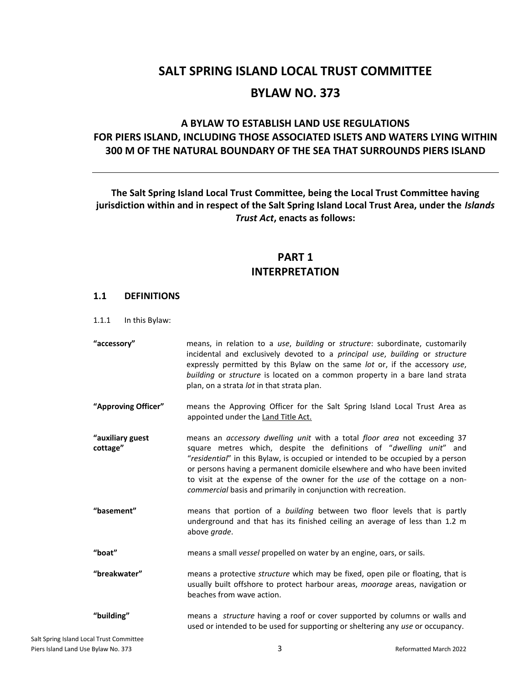# **SALT SPRING ISLAND LOCAL TRUST COMMITTEE BYLAW NO. 373**

### **A BYLAW TO ESTABLISH LAND USE REGULATIONS FOR PIERS ISLAND, INCLUDING THOSE ASSOCIATED ISLETS AND WATERS LYING WITHIN 300 M OF THE NATURAL BOUNDARY OF THE SEA THAT SURROUNDS PIERS ISLAND**

### **The Salt Spring Island Local Trust Committee, being the Local Trust Committee having jurisdiction within and in respect of the Salt Spring Island Local Trust Area, under the** *Islands Trust Act***, enacts as follows:**

### **PART 1 INTERPRETATION**

#### <span id="page-3-1"></span><span id="page-3-0"></span>**1.1 DEFINITIONS**

1.1.1 In this Bylaw:

- **"accessory"** means, in relation to a *use*, *building* or *structure*: subordinate, customarily incidental and exclusively devoted to a *principal use*, *building* or *structure* expressly permitted by this Bylaw on the same *lot* or, if the accessory *use*, *building* or *structure* is located on a common property in a bare land strata plan, on a strata *lot* in that strata plan.
- **"Approving Officer"** means the Approving Officer for the Salt Spring Island Local Trust Area as appointed under the Land Title Act.
- **"auxiliary guest cottage"** means an *accessory dwelling unit* with a total *floor area* not exceeding 37 square metres which, despite the definitions of "*dwelling unit*" and "*residential*" in this Bylaw, is occupied or intended to be occupied by a person or persons having a permanent domicile elsewhere and who have been invited to visit at the expense of the owner for the *use* of the cottage on a non*commercial* basis and primarily in conjunction with recreation.
- **"basement"** means that portion of a *building* between two floor levels that is partly underground and that has its finished ceiling an average of less than 1.2 m above *grade*.

**"boat"** means a small *vessel* propelled on water by an engine, oars, or sails.

**"breakwater"** means a protective *structure* which may be fixed, open pile or floating, that is usually built offshore to protect harbour areas, *moorage* areas, navigation or beaches from wave action.

**"building"** means a *structure* having a roof or cover supported by columns or walls and used or intended to be used for supporting or sheltering any *use* or occupancy.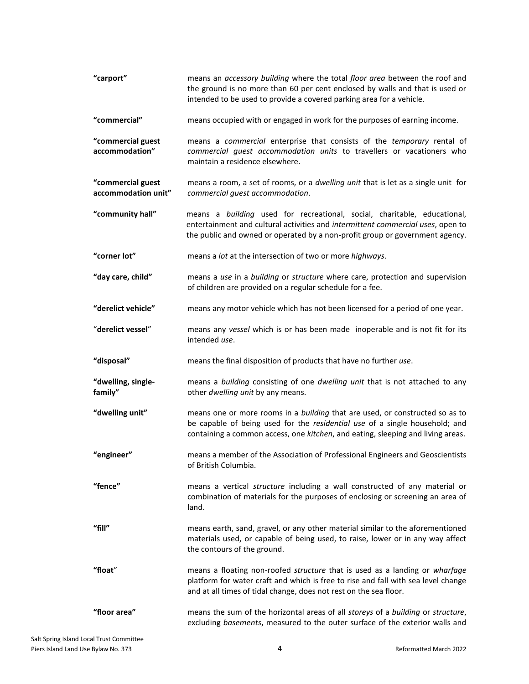| "carport"                                | means an accessory building where the total floor area between the roof and<br>the ground is no more than 60 per cent enclosed by walls and that is used or<br>intended to be used to provide a covered parking area for a vehicle.            |
|------------------------------------------|------------------------------------------------------------------------------------------------------------------------------------------------------------------------------------------------------------------------------------------------|
| "commercial"                             | means occupied with or engaged in work for the purposes of earning income.                                                                                                                                                                     |
| "commercial guest<br>accommodation"      | means a commercial enterprise that consists of the temporary rental of<br>commercial guest accommodation units to travellers or vacationers who<br>maintain a residence elsewhere.                                                             |
| "commercial guest<br>accommodation unit" | means a room, a set of rooms, or a dwelling unit that is let as a single unit for<br>commercial guest accommodation.                                                                                                                           |
| "community hall"                         | means a building used for recreational, social, charitable, educational,<br>entertainment and cultural activities and intermittent commercial uses, open to<br>the public and owned or operated by a non-profit group or government agency.    |
| "corner lot"                             | means a lot at the intersection of two or more highways.                                                                                                                                                                                       |
| "day care, child"                        | means a use in a building or structure where care, protection and supervision<br>of children are provided on a regular schedule for a fee.                                                                                                     |
| "derelict vehicle"                       | means any motor vehicle which has not been licensed for a period of one year.                                                                                                                                                                  |
| "derelict vessel"                        | means any vessel which is or has been made inoperable and is not fit for its<br>intended use.                                                                                                                                                  |
| "disposal"                               | means the final disposition of products that have no further use.                                                                                                                                                                              |
| "dwelling, single-<br>family"            | means a building consisting of one dwelling unit that is not attached to any<br>other dwelling unit by any means.                                                                                                                              |
| "dwelling unit"                          | means one or more rooms in a building that are used, or constructed so as to<br>be capable of being used for the residential use of a single household; and<br>containing a common access, one kitchen, and eating, sleeping and living areas. |
| "engineer"                               | means a member of the Association of Professional Engineers and Geoscientists<br>of British Columbia.                                                                                                                                          |
| "fence"                                  | means a vertical structure including a wall constructed of any material or<br>combination of materials for the purposes of enclosing or screening an area of<br>land.                                                                          |
| "fill"                                   | means earth, sand, gravel, or any other material similar to the aforementioned<br>materials used, or capable of being used, to raise, lower or in any way affect<br>the contours of the ground.                                                |
| "float"                                  | means a floating non-roofed structure that is used as a landing or wharfage<br>platform for water craft and which is free to rise and fall with sea level change<br>and at all times of tidal change, does not rest on the sea floor.          |
| "floor area"                             | means the sum of the horizontal areas of all storeys of a building or structure,<br>excluding basements, measured to the outer surface of the exterior walls and                                                                               |
| ical Trust Committee                     |                                                                                                                                                                                                                                                |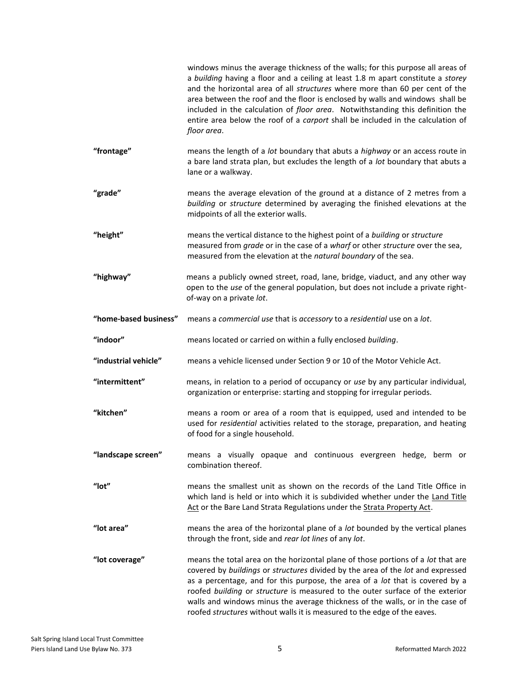|                       | windows minus the average thickness of the walls; for this purpose all areas of<br>a building having a floor and a ceiling at least 1.8 m apart constitute a storey<br>and the horizontal area of all structures where more than 60 per cent of the<br>area between the roof and the floor is enclosed by walls and windows shall be<br>included in the calculation of floor area. Notwithstanding this definition the<br>entire area below the roof of a carport shall be included in the calculation of<br>floor area. |
|-----------------------|--------------------------------------------------------------------------------------------------------------------------------------------------------------------------------------------------------------------------------------------------------------------------------------------------------------------------------------------------------------------------------------------------------------------------------------------------------------------------------------------------------------------------|
| "frontage"            | means the length of a lot boundary that abuts a highway or an access route in<br>a bare land strata plan, but excludes the length of a lot boundary that abuts a<br>lane or a walkway.                                                                                                                                                                                                                                                                                                                                   |
| "grade"               | means the average elevation of the ground at a distance of 2 metres from a<br>building or structure determined by averaging the finished elevations at the<br>midpoints of all the exterior walls.                                                                                                                                                                                                                                                                                                                       |
| "height"              | means the vertical distance to the highest point of a building or structure<br>measured from grade or in the case of a wharf or other structure over the sea,<br>measured from the elevation at the natural boundary of the sea.                                                                                                                                                                                                                                                                                         |
| "highway"             | means a publicly owned street, road, lane, bridge, viaduct, and any other way<br>open to the use of the general population, but does not include a private right-<br>of-way on a private lot.                                                                                                                                                                                                                                                                                                                            |
| "home-based business" | means a commercial use that is accessory to a residential use on a lot.                                                                                                                                                                                                                                                                                                                                                                                                                                                  |
| "indoor"              | means located or carried on within a fully enclosed building.                                                                                                                                                                                                                                                                                                                                                                                                                                                            |
| "industrial vehicle"  | means a vehicle licensed under Section 9 or 10 of the Motor Vehicle Act.                                                                                                                                                                                                                                                                                                                                                                                                                                                 |
| "intermittent"        | means, in relation to a period of occupancy or use by any particular individual,<br>organization or enterprise: starting and stopping for irregular periods.                                                                                                                                                                                                                                                                                                                                                             |
| "kitchen"             | means a room or area of a room that is equipped, used and intended to be<br>used for residential activities related to the storage, preparation, and heating<br>of food for a single household.                                                                                                                                                                                                                                                                                                                          |
| "landscape screen"    | means a visually opaque and continuous evergreen hedge, berm or<br>combination thereof.                                                                                                                                                                                                                                                                                                                                                                                                                                  |
| " $lot"$              | means the smallest unit as shown on the records of the Land Title Office in<br>which land is held or into which it is subdivided whether under the Land Title<br>Act or the Bare Land Strata Regulations under the Strata Property Act.                                                                                                                                                                                                                                                                                  |
| "lot area"            | means the area of the horizontal plane of a lot bounded by the vertical planes<br>through the front, side and rear lot lines of any lot.                                                                                                                                                                                                                                                                                                                                                                                 |
| "lot coverage"        | means the total area on the horizontal plane of those portions of a lot that are<br>covered by buildings or structures divided by the area of the lot and expressed<br>as a percentage, and for this purpose, the area of a lot that is covered by a<br>roofed building or structure is measured to the outer surface of the exterior<br>walls and windows minus the average thickness of the walls, or in the case of<br>roofed structures without walls it is measured to the edge of the eaves.                       |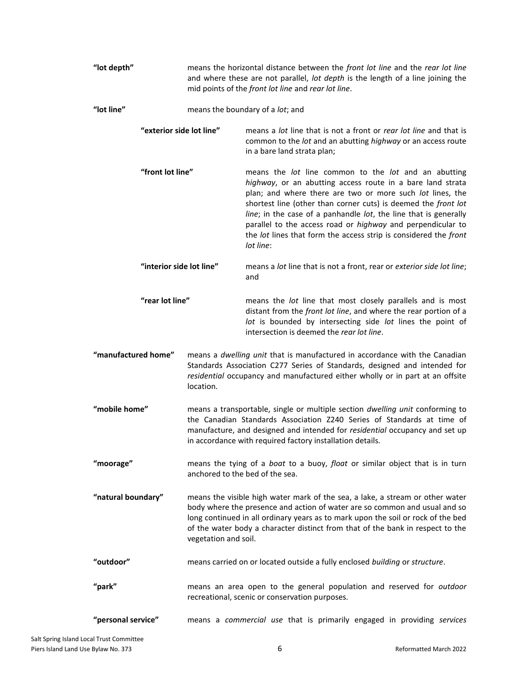| "lot depth"              | means the horizontal distance between the front lot line and the rear lot line<br>and where these are not parallel, lot depth is the length of a line joining the<br>mid points of the front lot line and rear lot line. |                                                                                                                                                                                                                                                                                                                                                                                                                                                                       |
|--------------------------|--------------------------------------------------------------------------------------------------------------------------------------------------------------------------------------------------------------------------|-----------------------------------------------------------------------------------------------------------------------------------------------------------------------------------------------------------------------------------------------------------------------------------------------------------------------------------------------------------------------------------------------------------------------------------------------------------------------|
| "lot line"               |                                                                                                                                                                                                                          | means the boundary of a lot; and                                                                                                                                                                                                                                                                                                                                                                                                                                      |
| "exterior side lot line" |                                                                                                                                                                                                                          | means a lot line that is not a front or rear lot line and that is<br>common to the lot and an abutting highway or an access route<br>in a bare land strata plan;                                                                                                                                                                                                                                                                                                      |
| "front lot line"         |                                                                                                                                                                                                                          | means the lot line common to the lot and an abutting<br>highway, or an abutting access route in a bare land strata<br>plan; and where there are two or more such lot lines, the<br>shortest line (other than corner cuts) is deemed the front lot<br>line; in the case of a panhandle lot, the line that is generally<br>parallel to the access road or highway and perpendicular to<br>the lot lines that form the access strip is considered the front<br>lot line: |
| "interior side lot line" |                                                                                                                                                                                                                          | means a lot line that is not a front, rear or exterior side lot line;<br>and                                                                                                                                                                                                                                                                                                                                                                                          |
| "rear lot line"          |                                                                                                                                                                                                                          | means the lot line that most closely parallels and is most<br>distant from the front lot line, and where the rear portion of a<br>lot is bounded by intersecting side lot lines the point of<br>intersection is deemed the rear lot line.                                                                                                                                                                                                                             |
| "manufactured home"      | location.                                                                                                                                                                                                                | means a dwelling unit that is manufactured in accordance with the Canadian<br>Standards Association C277 Series of Standards, designed and intended for<br>residential occupancy and manufactured either wholly or in part at an offsite                                                                                                                                                                                                                              |
| "mobile home"            |                                                                                                                                                                                                                          | means a transportable, single or multiple section dwelling unit conforming to<br>the Canadian Standards Association Z240 Series of Standards at time of<br>manufacture, and designed and intended for residential occupancy and set up<br>in accordance with required factory installation details.                                                                                                                                                                   |
| "moorage"                |                                                                                                                                                                                                                          | means the tying of a boat to a buoy, float or similar object that is in turn<br>anchored to the bed of the sea.                                                                                                                                                                                                                                                                                                                                                       |
| "natural boundary"       | vegetation and soil.                                                                                                                                                                                                     | means the visible high water mark of the sea, a lake, a stream or other water<br>body where the presence and action of water are so common and usual and so<br>long continued in all ordinary years as to mark upon the soil or rock of the bed<br>of the water body a character distinct from that of the bank in respect to the                                                                                                                                     |
| "outdoor"                |                                                                                                                                                                                                                          | means carried on or located outside a fully enclosed building or structure.                                                                                                                                                                                                                                                                                                                                                                                           |
| "park"                   |                                                                                                                                                                                                                          | means an area open to the general population and reserved for outdoor<br>recreational, scenic or conservation purposes.                                                                                                                                                                                                                                                                                                                                               |
| "personal service"       |                                                                                                                                                                                                                          | means a commercial use that is primarily engaged in providing services                                                                                                                                                                                                                                                                                                                                                                                                |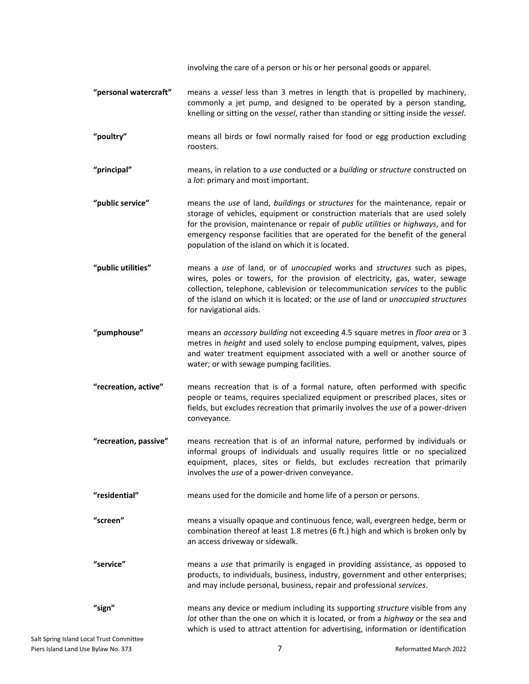involving the care of a person or his or her personal goods or apparel.

- **"personal watercraft"** means a *vessel* less than 3 metres in length that is propelled by machinery, commonly a jet pump, and designed to be operated by a person standing, knelling or sitting on the *vessel*, rather than standing or sitting inside the *vessel*.
- **"poultry"** means all birds or fowl normally raised for food or egg production excluding roosters.
- **"principal"** means, in relation to a *use* conducted or a *building* or *structure* constructed on a *lot*: primary and most important.
- **"public service"** means the *use* of land, *buildings* or *structures* for the maintenance, repair or storage of vehicles, equipment or construction materials that are used solely for the provision, maintenance or repair of *public utilities* or *highways*, and for emergency response facilities that are operated for the benefit of the general population of the island on which it is located.
- **"public utilities"** means a *use* of land, or of *unoccupied* works and *structures* such as pipes, wires, poles or towers, for the provision of electricity, gas, water, sewage collection, telephone, cablevision or telecommunication *services* to the public of the island on which it is located; or the *use* of land or *unoccupied structures* for navigational aids.
- **"pumphouse"** means an *accessory building* not exceeding 4.5 square metres in *floor area* or 3 metres in *height* and used solely to enclose pumping equipment, valves, pipes and water treatment equipment associated with a well or another source of water; or with sewage pumping facilities.
- **"recreation, active"** means recreation that is of a formal nature, often performed with specific people or teams, requires specialized equipment or prescribed places, sites or fields, but excludes recreation that primarily involves the *use* of a power-driven conveyance.
- **"recreation, passive"** means recreation that is of an informal nature, performed by individuals or informal groups of individuals and usually requires little or no specialized equipment, places, sites or fields, but excludes recreation that primarily involves the *use* of a power-driven conveyance.
- **"residential"** means used for the domicile and home life of a person or persons.
- **"screen"** means a visually opaque and continuous fence, wall, evergreen hedge, berm or combination thereof at least 1.8 metres (6 ft.) high and which is broken only by an access driveway or sidewalk.
- **"service"** means a *use* that primarily is engaged in providing assistance, as opposed to products, to individuals, business, industry, government and other enterprises; and may include personal, business, repair and professional *services*.

**"sign"** means any device or medium including its supporting *structure* visible from any *lot* other than the one on which it is located, or from a *highway* or the sea and which is used to attract attention for advertising, information or identification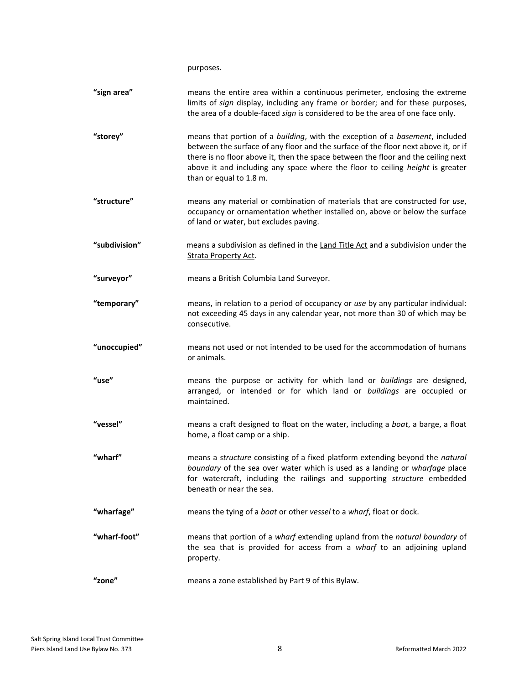purposes.

| "sign area"   | means the entire area within a continuous perimeter, enclosing the extreme<br>limits of sign display, including any frame or border; and for these purposes,<br>the area of a double-faced sign is considered to be the area of one face only.                                                                                                                      |
|---------------|---------------------------------------------------------------------------------------------------------------------------------------------------------------------------------------------------------------------------------------------------------------------------------------------------------------------------------------------------------------------|
| "storey"      | means that portion of a building, with the exception of a basement, included<br>between the surface of any floor and the surface of the floor next above it, or if<br>there is no floor above it, then the space between the floor and the ceiling next<br>above it and including any space where the floor to ceiling height is greater<br>than or equal to 1.8 m. |
| "structure"   | means any material or combination of materials that are constructed for use,<br>occupancy or ornamentation whether installed on, above or below the surface<br>of land or water, but excludes paving.                                                                                                                                                               |
| "subdivision" | means a subdivision as defined in the Land Title Act and a subdivision under the<br><b>Strata Property Act.</b>                                                                                                                                                                                                                                                     |
| "surveyor"    | means a British Columbia Land Surveyor.                                                                                                                                                                                                                                                                                                                             |
| "temporary"   | means, in relation to a period of occupancy or use by any particular individual:<br>not exceeding 45 days in any calendar year, not more than 30 of which may be<br>consecutive.                                                                                                                                                                                    |
| "unoccupied"  | means not used or not intended to be used for the accommodation of humans<br>or animals.                                                                                                                                                                                                                                                                            |
| "use"         | means the purpose or activity for which land or buildings are designed,<br>arranged, or intended or for which land or buildings are occupied or<br>maintained.                                                                                                                                                                                                      |
| "vessel"      | means a craft designed to float on the water, including a boat, a barge, a float<br>home, a float camp or a ship.                                                                                                                                                                                                                                                   |
| "wharf"       | means a structure consisting of a fixed platform extending beyond the natural<br>boundary of the sea over water which is used as a landing or wharfage place<br>for watercraft, including the railings and supporting structure embedded<br>beneath or near the sea.                                                                                                |
| "wharfage"    | means the tying of a boat or other vessel to a wharf, float or dock.                                                                                                                                                                                                                                                                                                |
| "wharf-foot"  | means that portion of a wharf extending upland from the natural boundary of<br>the sea that is provided for access from a wharf to an adjoining upland<br>property.                                                                                                                                                                                                 |
| "zone"        | means a zone established by Part 9 of this Bylaw.                                                                                                                                                                                                                                                                                                                   |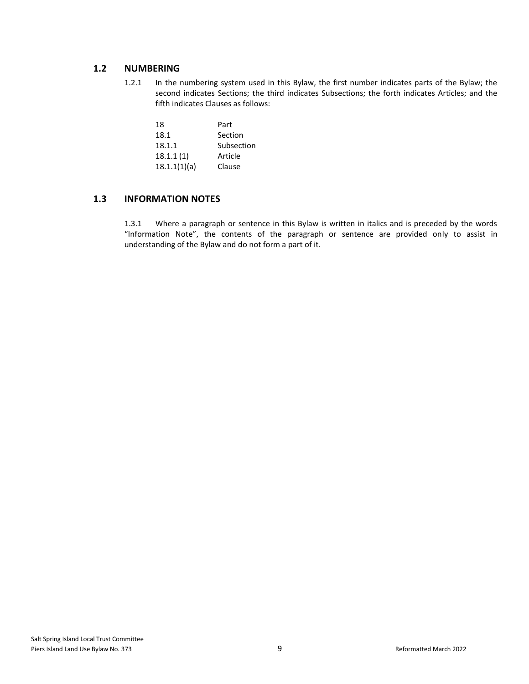### <span id="page-9-0"></span>**1.2 NUMBERING**

1.2.1 In the numbering system used in this Bylaw, the first number indicates parts of the Bylaw; the second indicates Sections; the third indicates Subsections; the forth indicates Articles; and the fifth indicates Clauses as follows:

| 18           | Part       |
|--------------|------------|
| 18.1         | Section    |
| 18.1.1       | Subsection |
| 18.1.1(1)    | Article    |
| 18.1.1(1)(a) | Clause     |

### <span id="page-9-1"></span>**1.3 INFORMATION NOTES**

1.3.1 Where a paragraph or sentence in this Bylaw is written in italics and is preceded by the words "Information Note", the contents of the paragraph or sentence are provided only to assist in understanding of the Bylaw and do not form a part of it.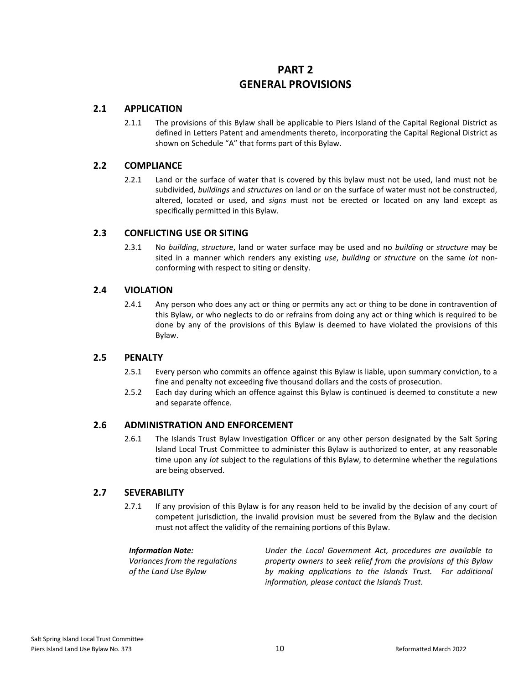### **PART 2 GENERAL PROVISIONS**

### <span id="page-10-1"></span><span id="page-10-0"></span>**2.1 APPLICATION**

2.1.1 The provisions of this Bylaw shall be applicable to Piers Island of the Capital Regional District as defined in Letters Patent and amendments thereto, incorporating the Capital Regional District as shown on Schedule "A" that forms part of this Bylaw.

### <span id="page-10-2"></span>**2.2 COMPLIANCE**

2.2.1 Land or the surface of water that is covered by this bylaw must not be used, land must not be subdivided, *buildings* and *structures* on land or on the surface of water must not be constructed, altered, located or used, and *signs* must not be erected or located on any land except as specifically permitted in this Bylaw.

### <span id="page-10-3"></span>**2.3 CONFLICTING USE OR SITING**

2.3.1 No *building*, *structure*, land or water surface may be used and no *building* or *structure* may be sited in a manner which renders any existing *use*, *building* or *structure* on the same *lot* nonconforming with respect to siting or density.

### <span id="page-10-4"></span>**2.4 VIOLATION**

2.4.1 Any person who does any act or thing or permits any act or thing to be done in contravention of this Bylaw, or who neglects to do or refrains from doing any act or thing which is required to be done by any of the provisions of this Bylaw is deemed to have violated the provisions of this Bylaw.

### <span id="page-10-5"></span>**2.5 PENALTY**

- 2.5.1 Every person who commits an offence against this Bylaw is liable, upon summary conviction, to a fine and penalty not exceeding five thousand dollars and the costs of prosecution.
- 2.5.2 Each day during which an offence against this Bylaw is continued is deemed to constitute a new and separate offence.

### <span id="page-10-6"></span>**2.6 ADMINISTRATION AND ENFORCEMENT**

2.6.1 The Islands Trust Bylaw Investigation Officer or any other person designated by the Salt Spring Island Local Trust Committee to administer this Bylaw is authorized to enter, at any reasonable time upon any *lot* subject to the regulations of this Bylaw, to determine whether the regulations are being observed.

### <span id="page-10-7"></span>**2.7 SEVERABILITY**

2.7.1 If any provision of this Bylaw is for any reason held to be invalid by the decision of any court of competent jurisdiction, the invalid provision must be severed from the Bylaw and the decision must not affect the validity of the remaining portions of this Bylaw.

#### *Information Note:*

*Variances from the regulations of the Land Use Bylaw*

*Under the Local Government Act, procedures are available to property owners to seek relief from the provisions of this Bylaw by making applications to the Islands Trust. For additional information, please contact the Islands Trust.*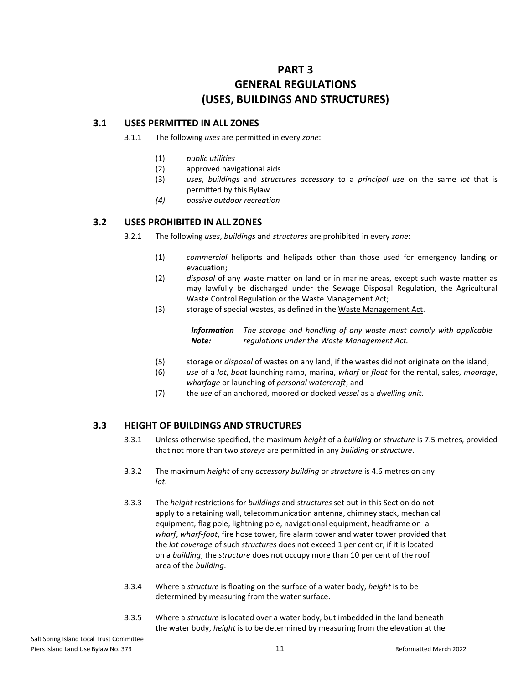### **PART 3 GENERAL REGULATIONS (USES, BUILDINGS AND STRUCTURES)**

#### <span id="page-11-1"></span><span id="page-11-0"></span>**3.1 USES PERMITTED IN ALL ZONES**

- 3.1.1 The following *uses* are permitted in every *zone*:
	- (1) *public utilities*
	- (2) approved navigational aids
	- (3) *uses*, *buildings* and *structures accessory* to a *principal use* on the same *lot* that is permitted by this Bylaw
	- *(4) passive outdoor recreation*

#### <span id="page-11-2"></span>**3.2 USES PROHIBITED IN ALL ZONES**

- 3.2.1 The following *uses*, *buildings* and *structures* are prohibited in every *zone*:
	- (1) *commercial* heliports and helipads other than those used for emergency landing or evacuation;
	- (2) *disposal* of any waste matter on land or in marine areas, except such waste matter as may lawfully be discharged under the Sewage Disposal Regulation, the Agricultural Waste Control Regulation or the Waste Management Act;
	- (3) storage of special wastes, as defined in the Waste Management Act.

*Information Note: The storage and handling of any waste must comply with applicable regulations under the Waste Management Act.*

- (5) storage or *disposal* of wastes on any land, if the wastes did not originate on the island;
- (6) *use* of a *lot*, *boat* launching ramp, marina, *wharf* or *float* for the rental, sales, *moorage*, *wharfage* or launching of *personal watercraft*; and
- (7) the *use* of an anchored, moored or docked *vessel* as a *dwelling unit*.

### <span id="page-11-3"></span>**3.3 HEIGHT OF BUILDINGS AND STRUCTURES**

- 3.3.1 Unless otherwise specified, the maximum *height* of a *building* or *structure* is 7.5 metres, provided that not more than two *storeys* are permitted in any *building* or *structure*.
- 3.3.2 The maximum *height* of any *accessory building* or *structure* is 4.6 metres on any *lot*.
- 3.3.3 The *height* restrictions for *buildings* and *structures* set out in this Section do not apply to a retaining wall, telecommunication antenna, chimney stack, mechanical equipment, flag pole, lightning pole, navigational equipment, headframe on a *wharf*, *wharf-foot*, fire hose tower, fire alarm tower and water tower provided that the *lot coverage* of such *structures* does not exceed 1 per cent or, if it is located on a *building*, the *structure* does not occupy more than 10 per cent of the roof area of the *building*.
- 3.3.4 Where a *structure* is floating on the surface of a water body, *height* is to be determined by measuring from the water surface.
- 3.3.5 Where a *structure* is located over a water body, but imbedded in the land beneath the water body, *height* is to be determined by measuring from the elevation at the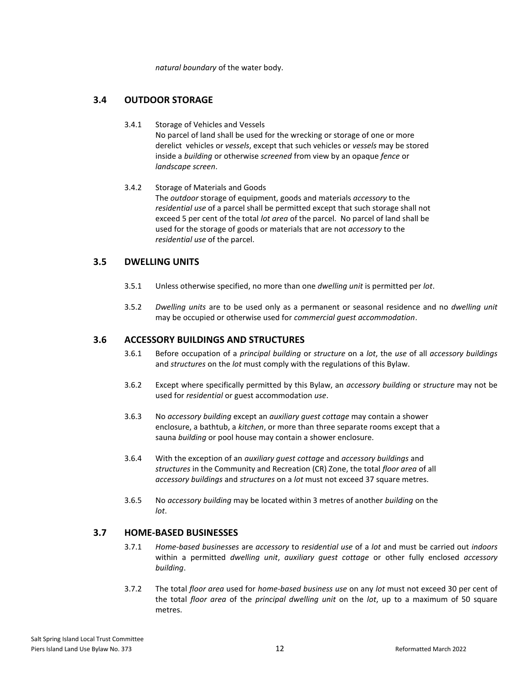*natural boundary* of the water body.

### <span id="page-12-0"></span>**3.4 OUTDOOR STORAGE**

- 3.4.1 Storage of Vehicles and Vessels No parcel of land shall be used for the wrecking or storage of one or more derelict vehicles or *vessels*, except that such vehicles or *vessels* may be stored inside a *building* or otherwise *screened* from view by an opaque *fence* or *landscape screen*.
- 3.4.2 Storage of Materials and Goods The *outdoor* storage of equipment, goods and materials *accessory* to the *residential use* of a parcel shall be permitted except that such storage shall not exceed 5 per cent of the total *lot area* of the parcel. No parcel of land shall be used for the storage of goods or materials that are not *accessory* to the *residential use* of the parcel.

### <span id="page-12-1"></span>**3.5 DWELLING UNITS**

- 3.5.1 Unless otherwise specified, no more than one *dwelling unit* is permitted per *lot*.
- 3.5.2 *Dwelling units* are to be used only as a permanent or seasonal residence and no *dwelling unit* may be occupied or otherwise used for *commercial guest accommodation*.

### <span id="page-12-2"></span>**3.6 ACCESSORY BUILDINGS AND STRUCTURES**

- 3.6.1 Before occupation of a *principal building* or *structure* on a *lot*, the *use* of all *accessory buildings* and *structures* on the *lot* must comply with the regulations of this Bylaw.
- 3.6.2 Except where specifically permitted by this Bylaw, an *accessory building* or *structure* may not be used for *residential* or guest accommodation *use*.
- 3.6.3 No *accessory building* except an *auxiliary guest cottage* may contain a shower enclosure, a bathtub, a *kitchen*, or more than three separate rooms except that a sauna *building* or pool house may contain a shower enclosure.
- 3.6.4 With the exception of an *auxiliary guest cottage* and *accessory buildings* and *structures* in the Community and Recreation (CR) Zone, the total *floor area* of all *accessory buildings* and *structures* on a *lot* must not exceed 37 square metres.
- 3.6.5 No *accessory building* may be located within 3 metres of another *building* on the *lot*.

### <span id="page-12-3"></span>**3.7 HOME-BASED BUSINESSES**

- 3.7.1 *Home-based businesses* are *accessory* to *residential use* of a *lot* and must be carried out *indoors*  within a permitted *dwelling unit*, *auxiliary guest cottage* or other fully enclosed *accessory building*.
- 3.7.2 The total *floor area* used for *home-based business use* on any *lot* must not exceed 30 per cent of the total *floor area* of the *principal dwelling unit* on the *lot*, up to a maximum of 50 square metres.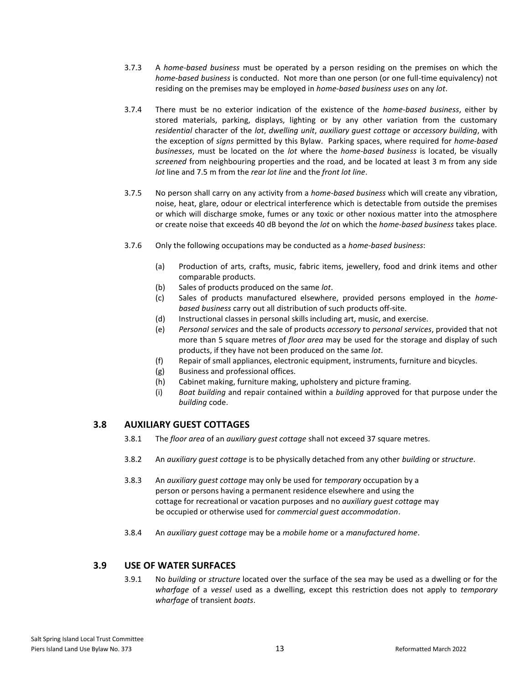- 3.7.3 A *home-based business* must be operated by a person residing on the premises on which the *home-based business* is conducted. Not more than one person (or one full-time equivalency) not residing on the premises may be employed in *home-based business uses* on any *lot*.
- 3.7.4 There must be no exterior indication of the existence of the *home-based business*, either by stored materials, parking, displays, lighting or by any other variation from the customary *residential* character of the *lot*, *dwelling unit*, *auxiliary guest cottage* or *accessory building*, with the exception of *signs* permitted by this Bylaw. Parking spaces, where required for *home-based businesses*, must be located on the *lot* where the *home-based business* is located, be visually *screened* from neighbouring properties and the road, and be located at least 3 m from any side *lot* line and 7.5 m from the *rear lot line* and the *front lot line*.
- 3.7.5 No person shall carry on any activity from a *home-based business* which will create any vibration, noise, heat, glare, odour or electrical interference which is detectable from outside the premises or which will discharge smoke, fumes or any toxic or other noxious matter into the atmosphere or create noise that exceeds 40 dB beyond the *lot* on which the *home-based business* takes place.
- 3.7.6 Only the following occupations may be conducted as a *home-based business*:
	- (a) Production of arts, crafts, music, fabric items, jewellery, food and drink items and other comparable products.
	- (b) Sales of products produced on the same *lot*.
	- (c) Sales of products manufactured elsewhere, provided persons employed in the *homebased business* carry out all distribution of such products off-site.
	- (d) Instructional classes in personal skills including art, music, and exercise.
	- (e) *Personal services* and the sale of products *accessory* to *personal services*, provided that not more than 5 square metres of *floor area* may be used for the storage and display of such products, if they have not been produced on the same *lot*.
	- (f) Repair of small appliances, electronic equipment, instruments, furniture and bicycles.
	- (g) Business and professional offices.
	- (h) Cabinet making, furniture making, upholstery and picture framing.
	- (i) *Boat building* and repair contained within a *building* approved for that purpose under the *building* code.

### <span id="page-13-0"></span>**3.8 AUXILIARY GUEST COTTAGES**

- 3.8.1 The *floor area* of an *auxiliary guest cottage* shall not exceed 37 square metres.
- 3.8.2 An *auxiliary guest cottage* is to be physically detached from any other *building* or *structure*.
- 3.8.3 An *auxiliary guest cottage* may only be used for *temporary* occupation by a person or persons having a permanent residence elsewhere and using the cottage for recreational or vacation purposes and no *auxiliary guest cottage* may be occupied or otherwise used for *commercial guest accommodation*.
- 3.8.4 An *auxiliary guest cottage* may be a *mobile home* or a *manufactured home*.

### **3.9 USE OF WATER SURFACES**

3.9.1 No *building* or *structure* located over the surface of the sea may be used as a dwelling or for the *wharfage* of a *vessel* used as a dwelling, except this restriction does not apply to *temporary wharfage* of transient *boats*.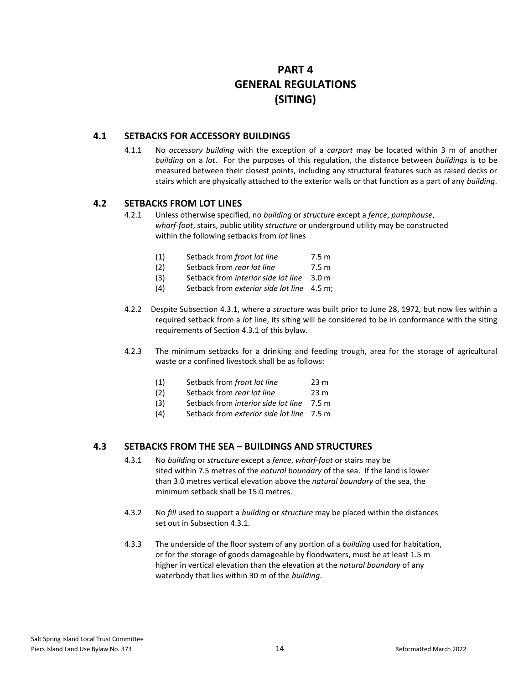### **PART 4 GENERAL REGULATIONS (SITING)**

### <span id="page-14-1"></span><span id="page-14-0"></span>**4.1 SETBACKS FOR ACCESSORY BUILDINGS**

4.1.1 No *accessory building* with the exception of a *carport* may be located within 3 m of another *building* on a *lot*. For the purposes of this regulation, the distance between *buildings* is to be measured between their closest points, including any structural features such as raised decks or stairs which are physically attached to the exterior walls or that function as a part of any *building*.

### <span id="page-14-2"></span>**4.2 SETBACKS FROM LOT LINES**

- 4.2.1 Unless otherwise specified, no *building* or *structure* except a *fence*, *pumphouse*, *wharf-foot*, stairs, public utility *structure* or underground utility may be constructed within the following setbacks from *lot* lines
	- (1) Setback from *front lot line* 7.5 m
	- (2) Setback from *rear lot line* 7.5 m
	- (3) Setback from *interior side lot line* 3.0 m
	- (4) Setback from *exterior side lot line* 4.5 m;
- 4.2.2 Despite Subsection 4.3.1, where a *structure* was built prior to June 28, 1972, but now lies within a required setback from a *lot* line, its siting will be considered to be in conformance with the siting requirements of Section 4.3.1 of this bylaw.
- 4.2.3 The minimum setbacks for a drinking and feeding trough, area for the storage of agricultural waste or a confined livestock shall be as follows:
	- (1) Setback from *front lot line* 23 m
	- (2) Setback from *rear lot line* 23 m
	- (3) Setback from *interior side lot line* 7.5 m
	- (4) Setback from *exterior side lot line* 7.5 m

### <span id="page-14-3"></span>**4.3 SETBACKS FROM THE SEA – BUILDINGS AND STRUCTURES**

- 4.3.1 No *building* or *structure* except a *fence*, *wharf-foot* or stairs may be sited within 7.5 metres of the *natural boundary* of the sea. If the land is lower than 3.0 metres vertical elevation above the *natural boundary* of the sea, the minimum setback shall be 15.0 metres.
- 4.3.2 No *fill* used to support a *building* or *structure* may be placed within the distances set out in Subsection 4.3.1.
- 4.3.3 The underside of the floor system of any portion of a *building* used for habitation, or for the storage of goods damageable by floodwaters, must be at least 1.5 m higher in vertical elevation than the elevation at the *natural boundary* of any waterbody that lies within 30 m of the *building*.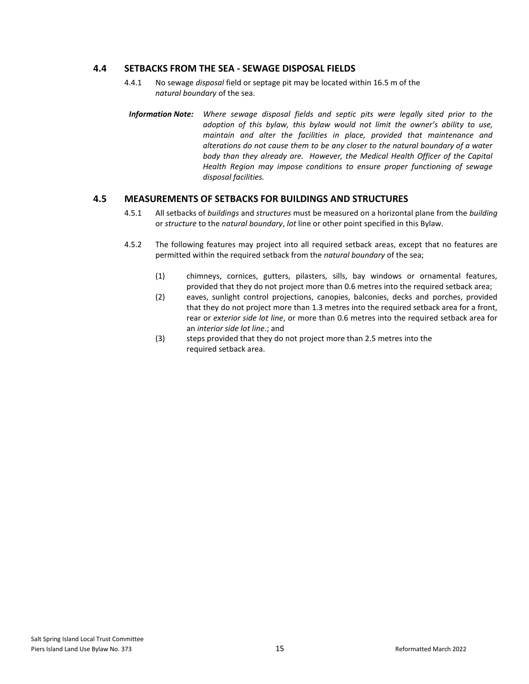### <span id="page-15-0"></span>**4.4 SETBACKS FROM THE SEA - SEWAGE DISPOSAL FIELDS**

- 4.4.1 No sewage *disposal* field or septage pit may be located within 16.5 m of the *natural boundary* of the sea.
- *Information Note: Where sewage disposal fields and septic pits were legally sited prior to the adoption of this bylaw, this bylaw would not limit the owner's ability to use, maintain and alter the facilities in place, provided that maintenance and alterations do not cause them to be any closer to the natural boundary of a water body than they already are. However, the Medical Health Officer of the Capital Health Region may impose conditions to ensure proper functioning of sewage disposal facilities.*

### <span id="page-15-1"></span>**4.5 MEASUREMENTS OF SETBACKS FOR BUILDINGS AND STRUCTURES**

- 4.5.1 All setbacks of *buildings* and *structures* must be measured on a horizontal plane from the *building* or *structure* to the *natural boundary*, *lot* line or other point specified in this Bylaw.
- 4.5.2 The following features may project into all required setback areas, except that no features are permitted within the required setback from the *natural boundary* of the sea;
	- (1) chimneys, cornices, gutters, pilasters, sills, bay windows or ornamental features, provided that they do not project more than 0.6 metres into the required setback area;
	- (2) eaves, sunlight control projections, canopies, balconies, decks and porches, provided that they do not project more than 1.3 metres into the required setback area for a front, rear or *exterior side lot line*, or more than 0.6 metres into the required setback area for an *interior side lot line*.; and
	- (3) steps provided that they do not project more than 2.5 metres into the required setback area.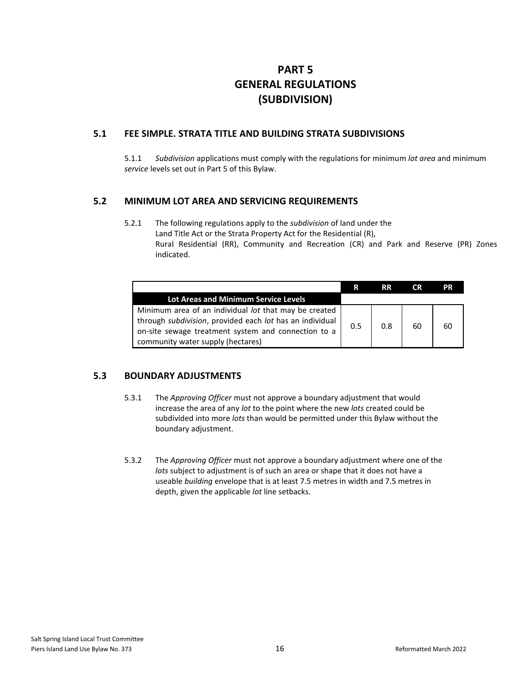### **PART 5 GENERAL REGULATIONS (SUBDIVISION)**

### <span id="page-16-1"></span><span id="page-16-0"></span>**5.1 FEE SIMPLE. STRATA TITLE AND BUILDING STRATA SUBDIVISIONS**

5.1.1 *Subdivision* applications must comply with the regulations for minimum *lot area* and minimum *service* levels set out in Part 5 of this Bylaw.

### **5.2 MINIMUM LOT AREA AND SERVICING REQUIREMENTS**

5.2.1 The following regulations apply to the *subdivision* of land under the Land Title Act or the Strata Property Act for the Residential (R), Rural Residential (RR), Community and Recreation (CR) and Park and Reserve (PR) Zones indicated.

|                                                                                                                                                                                                               | R   | <b>RR</b> | <b>CR</b> | РR |
|---------------------------------------------------------------------------------------------------------------------------------------------------------------------------------------------------------------|-----|-----------|-----------|----|
| Lot Areas and Minimum Service Levels                                                                                                                                                                          |     |           |           |    |
| Minimum area of an individual lot that may be created<br>through subdivision, provided each lot has an individual<br>on-site sewage treatment system and connection to a<br>community water supply (hectares) | 0.5 | 0.8       | 60        | 60 |

### **5.3 BOUNDARY ADJUSTMENTS**

- 5.3.1 The *Approving Officer* must not approve a boundary adjustment that would increase the area of any *lot* to the point where the new *lots* created could be subdivided into more *lots* than would be permitted under this Bylaw without the boundary adjustment.
- 5.3.2 The *Approving Officer* must not approve a boundary adjustment where one of the *lots* subject to adjustment is of such an area or shape that it does not have a useable *building* envelope that is at least 7.5 metres in width and 7.5 metres in depth, given the applicable *lot* line setbacks.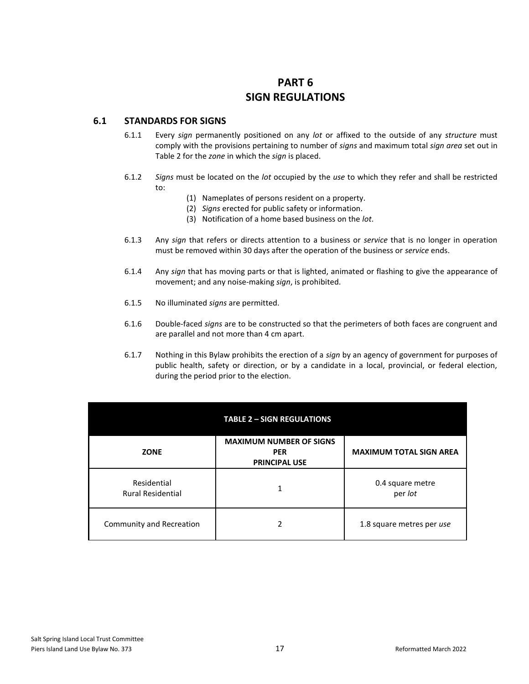## **PART 6 SIGN REGULATIONS**

### <span id="page-17-1"></span><span id="page-17-0"></span>**6.1 STANDARDS FOR SIGNS**

- 6.1.1 Every *sign* permanently positioned on any *lot* or affixed to the outside of any *structure* must comply with the provisions pertaining to number of *signs* and maximum total *sign area* set out in Table 2 for the *zone* in which the *sign* is placed.
- 6.1.2 *Signs* must be located on the *lot* occupied by the *use* to which they refer and shall be restricted to:
	- (1) Nameplates of persons resident on a property.
	- (2) *Signs* erected for public safety or information.
	- (3) Notification of a home based business on the *lot*.
- 6.1.3 Any *sign* that refers or directs attention to a business or *service* that is no longer in operation must be removed within 30 days after the operation of the business or *service* ends.
- 6.1.4 Any *sign* that has moving parts or that is lighted, animated or flashing to give the appearance of movement; and any noise-making *sign*, is prohibited.
- 6.1.5 No illuminated *signs* are permitted.
- 6.1.6 Double-faced *signs* are to be constructed so that the perimeters of both faces are congruent and are parallel and not more than 4 cm apart.
- 6.1.7 Nothing in this Bylaw prohibits the erection of a *sign* by an agency of government for purposes of public health, safety or direction, or by a candidate in a local, provincial, or federal election, during the period prior to the election.

|                                         | <b>TABLE 2 - SIGN REGULATIONS</b>                                    |                                |
|-----------------------------------------|----------------------------------------------------------------------|--------------------------------|
| <b>ZONE</b>                             | <b>MAXIMUM NUMBER OF SIGNS</b><br><b>PER</b><br><b>PRINCIPAL USE</b> | <b>MAXIMUM TOTAL SIGN AREA</b> |
| Residential<br><b>Rural Residential</b> | 1                                                                    | 0.4 square metre<br>per lot    |
| Community and Recreation                | 2                                                                    | 1.8 square metres per use      |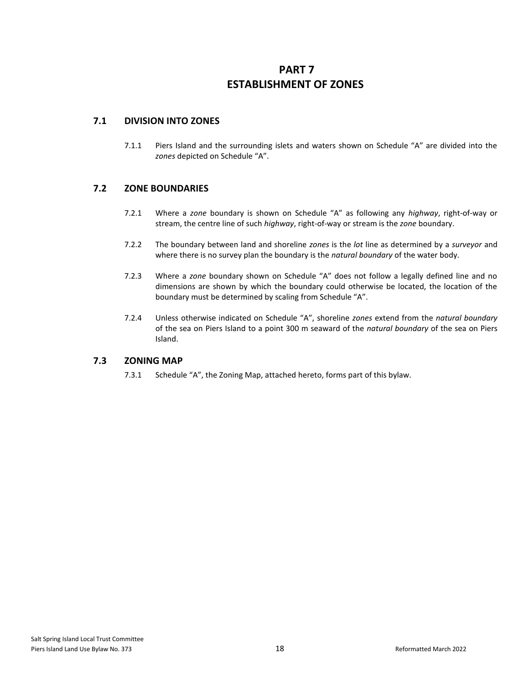### <span id="page-18-0"></span>**PART 7 ESTABLISHMENT OF ZONES**

### <span id="page-18-1"></span>**7.1 DIVISION INTO ZONES**

7.1.1 Piers Island and the surrounding islets and waters shown on Schedule "A" are divided into the *zones* depicted on Schedule "A".

### <span id="page-18-2"></span>**7.2 ZONE BOUNDARIES**

- 7.2.1 Where a *zone* boundary is shown on Schedule "A" as following any *highway*, right-of-way or stream, the centre line of such *highway*, right-of-way or stream is the *zone* boundary.
- 7.2.2 The boundary between land and shoreline *zones* is the *lot* line as determined by a *surveyor* and where there is no survey plan the boundary is the *natural boundary* of the water body.
- 7.2.3 Where a *zone* boundary shown on Schedule "A" does not follow a legally defined line and no dimensions are shown by which the boundary could otherwise be located, the location of the boundary must be determined by scaling from Schedule "A".
- 7.2.4 Unless otherwise indicated on Schedule "A", shoreline *zones* extend from the *natural boundary* of the sea on Piers Island to a point 300 m seaward of the *natural boundary* of the sea on Piers Island.

### **7.3 ZONING MAP**

7.3.1 Schedule "A", the Zoning Map, attached hereto, forms part of this bylaw.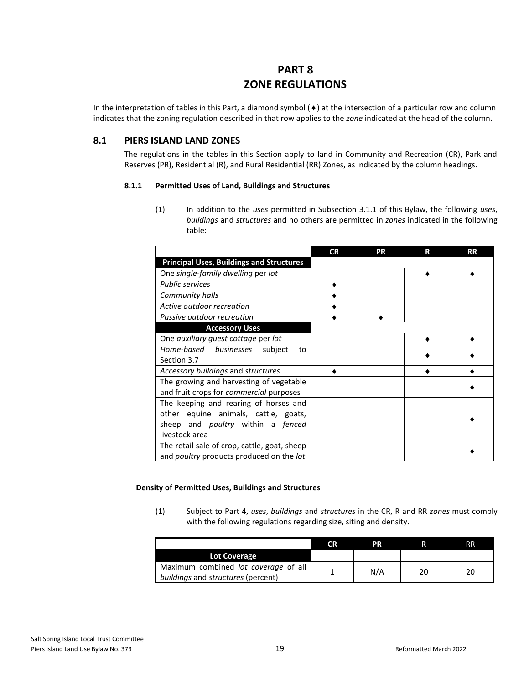### **PART 8 ZONE REGULATIONS**

<span id="page-19-0"></span>In the interpretation of tables in this Part, a diamond symbol  $(\bullet)$  at the intersection of a particular row and column indicates that the zoning regulation described in that row applies to the *zone* indicated at the head of the column.

### <span id="page-19-1"></span>**8.1 PIERS ISLAND LAND ZONES**

The regulations in the tables in this Section apply to land in Community and Recreation (CR), Park and Reserves (PR), Residential (R), and Rural Residential (RR) Zones, as indicated by the column headings.

#### **8.1.1 Permitted Uses of Land, Buildings and Structures**

(1) In addition to the *uses* permitted in Subsection 3.1.1 of this Bylaw, the following *uses*, *buildings* and *structures* and no others are permitted in *zones* indicated in the following table:

|                                                 | <b>CR</b> | PR | R | <b>RR</b> |
|-------------------------------------------------|-----------|----|---|-----------|
| <b>Principal Uses, Buildings and Structures</b> |           |    |   |           |
| One single-family dwelling per lot              |           |    |   |           |
| <b>Public services</b>                          |           |    |   |           |
| Community halls                                 |           |    |   |           |
| Active outdoor recreation                       |           |    |   |           |
| Passive outdoor recreation                      |           |    |   |           |
| <b>Accessory Uses</b>                           |           |    |   |           |
| One auxiliary quest cottage per lot             |           |    |   |           |
| Home-based businesses subject<br>to             |           |    |   |           |
| Section 3.7                                     |           |    |   |           |
| Accessory buildings and structures              |           |    |   |           |
| The growing and harvesting of vegetable         |           |    |   |           |
| and fruit crops for <i>commercial</i> purposes  |           |    |   |           |
| The keeping and rearing of horses and           |           |    |   |           |
| other equine animals, cattle, goats,            |           |    |   |           |
| sheep and <i>poultry</i> within a <i>fenced</i> |           |    |   |           |
| livestock area                                  |           |    |   |           |
| The retail sale of crop, cattle, goat, sheep    |           |    |   |           |
| and poultry products produced on the lot        |           |    |   |           |

#### **Density of Permitted Uses, Buildings and Structures**

(1) Subject to Part 4, *uses*, *buildings* and *structures* in the CR, R and RR *zones* must comply with the following regulations regarding size, siting and density.

|                                                                            | CR. | РR  |    | RR |
|----------------------------------------------------------------------------|-----|-----|----|----|
| <b>Lot Coverage</b>                                                        |     |     |    |    |
| Maximum combined lot coverage of all<br>buildings and structures (percent) |     | N/A | 20 | 20 |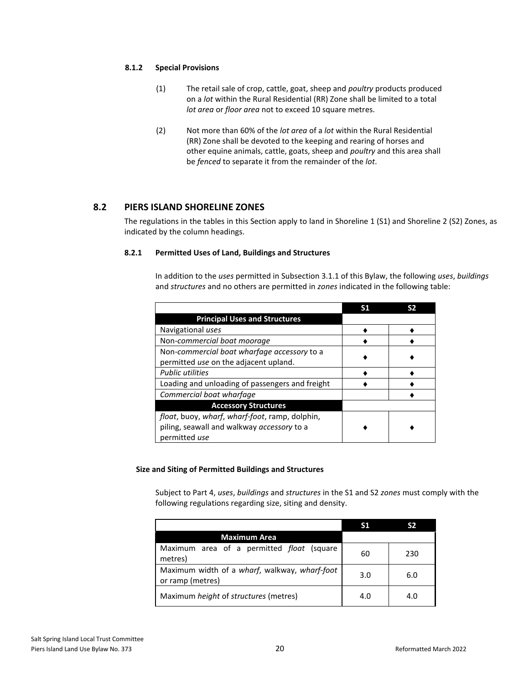#### **8.1.2 Special Provisions**

- (1) The retail sale of crop, cattle, goat, sheep and *poultry* products produced on a *lot* within the Rural Residential (RR) Zone shall be limited to a total *lot area* or *floor area* not to exceed 10 square metres.
- (2) Not more than 60% of the *lot area* of a *lot* within the Rural Residential (RR) Zone shall be devoted to the keeping and rearing of horses and other equine animals, cattle, goats, sheep and *poultry* and this area shall be *fenced* to separate it from the remainder of the *lot*.

### <span id="page-20-0"></span>**8.2 PIERS ISLAND SHORELINE ZONES**

The regulations in the tables in this Section apply to land in Shoreline 1 (S1) and Shoreline 2 (S2) Zones, as indicated by the column headings.

#### **8.2.1 Permitted Uses of Land, Buildings and Structures**

In addition to the *uses* permitted in Subsection 3.1.1 of this Bylaw, the following *uses*, *buildings* and *structures* and no others are permitted in *zones* indicated in the following table:

| <b>Principal Uses and Structures</b>            |  |
|-------------------------------------------------|--|
| Navigational uses                               |  |
| Non-commercial boat moorage                     |  |
| Non-commercial boat wharfage accessory to a     |  |
| permitted use on the adjacent upland.           |  |
| <b>Public utilities</b>                         |  |
| Loading and unloading of passengers and freight |  |
| Commercial boat wharfage                        |  |
| <b>Accessory Structures</b>                     |  |
| float, buoy, wharf, wharf-foot, ramp, dolphin,  |  |
| piling, seawall and walkway accessory to a      |  |
| permitted use                                   |  |

#### **Size and Siting of Permitted Buildings and Structures**

Subject to Part 4, *uses*, *buildings* and *structures* in the S1 and S2 *zones* must comply with the following regulations regarding size, siting and density.

| <b>Maximum Area</b>                                               |     |     |
|-------------------------------------------------------------------|-----|-----|
| Maximum area of a permitted <i>float</i> (square<br>metres)       | 60  | 230 |
| Maximum width of a wharf, walkway, wharf-foot<br>or ramp (metres) | 3.0 | 6.0 |
| Maximum <i>height</i> of <i>structures</i> (metres)               | 4.0 | 4.0 |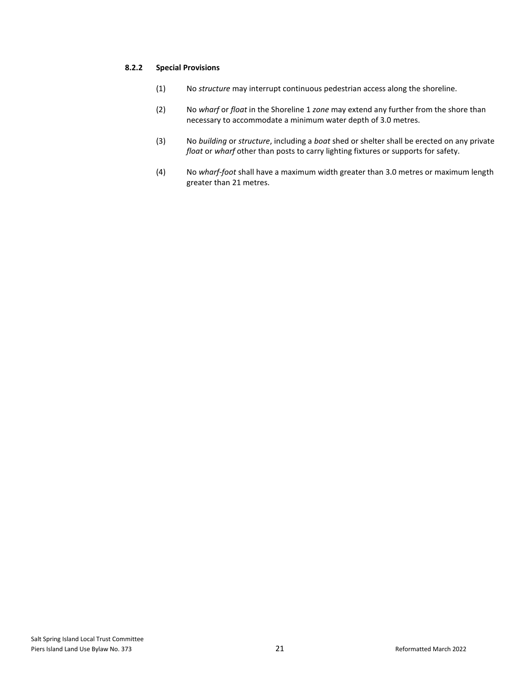#### **8.2.2 Special Provisions**

- (1) No *structure* may interrupt continuous pedestrian access along the shoreline.
- (2) No *wharf* or *float* in the Shoreline 1 *zone* may extend any further from the shore than necessary to accommodate a minimum water depth of 3.0 metres.
- (3) No *building* or *structure*, including a *boat* shed or shelter shall be erected on any private *float* or *wharf* other than posts to carry lighting fixtures or supports for safety.
- (4) No *wharf-foot* shall have a maximum width greater than 3.0 metres or maximum length greater than 21 metres.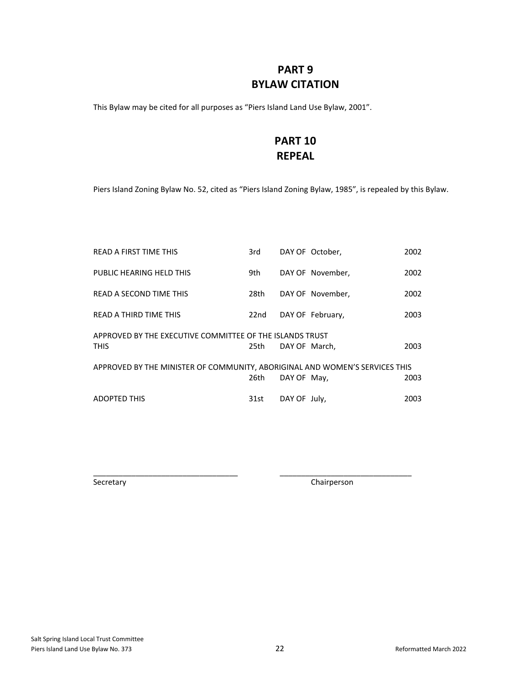### **PART 9 BYLAW CITATION**

<span id="page-22-1"></span><span id="page-22-0"></span>This Bylaw may be cited for all purposes as "Piers Island Land Use Bylaw, 2001".

### **PART 10 REPEAL**

Piers Island Zoning Bylaw No. 52, cited as "Piers Island Zoning Bylaw, 1985", is repealed by this Bylaw.

| <b>READ A FIRST TIME THIS</b>                                               | 3rd  |               | DAY OF October,  | 2002 |
|-----------------------------------------------------------------------------|------|---------------|------------------|------|
| PUBLIC HEARING HELD THIS                                                    | 9th  |               | DAY OF November, | 2002 |
| READ A SECOND TIME THIS                                                     | 28th |               | DAY OF November. | 2002 |
| <b>READ A THIRD TIME THIS</b>                                               | 22nd |               | DAY OF February, | 2003 |
| APPROVED BY THE EXECUTIVE COMMITTEE OF THE ISLANDS TRUST                    |      |               |                  |      |
| <b>THIS</b>                                                                 | 25th | DAY OF March. |                  | 2003 |
| APPROVED BY THE MINISTER OF COMMUNITY, ABORIGINAL AND WOMEN'S SERVICES THIS |      |               |                  |      |
|                                                                             | 26th | DAY OF May,   |                  | 2003 |
| <b>ADOPTED THIS</b>                                                         | 31st | DAY OF July,  |                  | 2003 |

\_\_\_\_\_\_\_\_\_\_\_\_\_\_\_\_\_\_\_\_\_\_\_\_\_\_\_\_\_\_\_\_\_\_ \_\_\_\_\_\_\_\_\_\_\_\_\_\_\_\_\_\_\_\_\_\_\_\_\_\_\_\_\_\_\_

Secretary **Chairperson**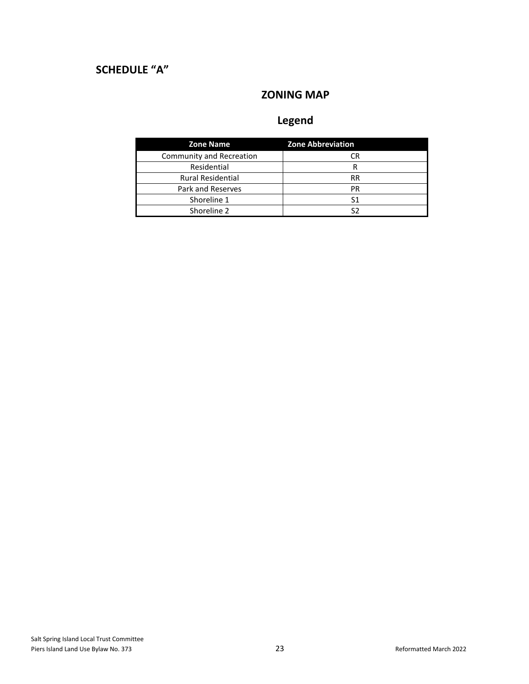# <span id="page-23-2"></span><span id="page-23-1"></span><span id="page-23-0"></span>**SCHEDULE "A"**

### **ZONING MAP**

# **Legend**

| <b>Zone Name</b>         | <b>Zone Abbreviation</b> |
|--------------------------|--------------------------|
| Community and Recreation | CR                       |
| Residential              | R                        |
| <b>Rural Residential</b> | <b>RR</b>                |
| Park and Reserves        | PR                       |
| Shoreline 1              | S1                       |
| Shoreline 2              | S2                       |